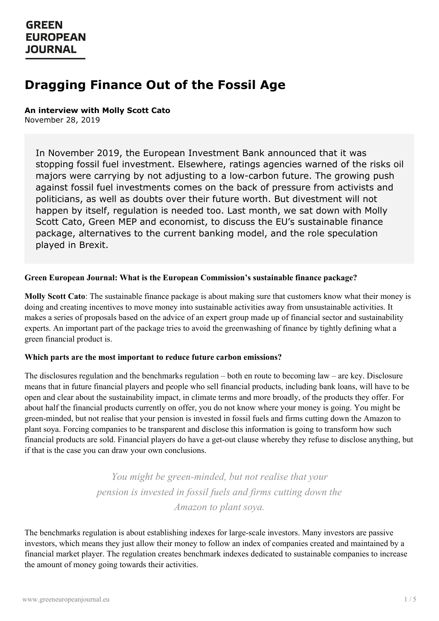## **Dragging Finance Out of the Fossil Age**

**An interview with Molly Scott Cato** November 28, 2019

In November 2019, the European Investment Bank announced that it was stopping fossil fuel investment. Elsewhere, ratings agencies warned of the risks oil majors were carrying by not adjusting to a low-carbon future. The growing push against fossil fuel investments comes on the back of pressure from activists and politicians, as well as doubts over their future worth. But divestment will not happen by itself, regulation is needed too. Last month, we sat down with Molly Scott Cato, Green MEP and economist, to discuss the EU's sustainable finance package, alternatives to the current banking model, and the role speculation played in Brexit.

#### **Green European Journal: What is the European Commission's sustainable finance package?**

**Molly Scott Cato**: The sustainable finance package is about making sure that customers know what their money is doing and creating incentives to move money into sustainable activities away from unsustainable activities. It makes a series of proposals based on the advice of an expert group made up of financial sector and sustainability experts. An important part of the package tries to avoid the greenwashing of finance by tightly defining what a green financial product is.

#### **Which parts are the most important to reduce future carbon emissions?**

The disclosures regulation and the benchmarks regulation – both en route to becoming law – are key. Disclosure means that in future financial players and people who sell financial products, including bank loans, will have to be open and clear about the sustainability impact, in climate terms and more broadly, of the products they offer. For about half the financial products currently on offer, you do not know where your money is going. You might be green-minded, but not realise that your pension is invested in fossil fuels and firms cutting down the Amazon to plant soya. Forcing companies to be transparent and disclose this information is going to transform how such financial products are sold. Financial players do have a get-out clause whereby they refuse to disclose anything, but if that is the case you can draw your own conclusions.

> *You might be green-minded, but not realise that your pension is invested in fossil fuels and firms cutting down the Amazon to plant soya.*

The benchmarks regulation is about establishing indexes for large-scale investors. Many investors are passive investors, which means they just allow their money to follow an index of companies created and maintained by a financial market player. The regulation creates benchmark indexes dedicated to sustainable companies to increase the amount of money going towards their activities.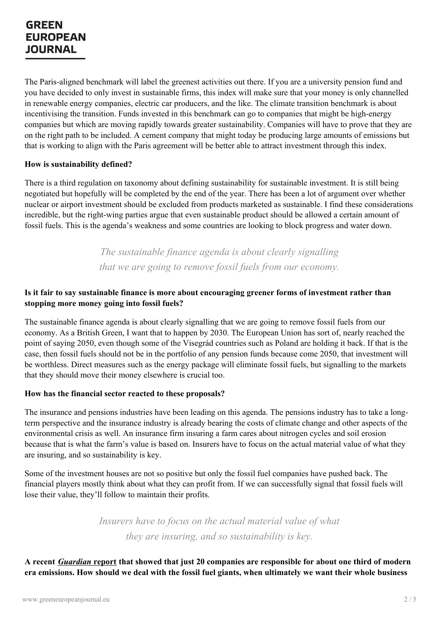The Paris-aligned benchmark will label the greenest activities out there. If you are a university pension fund and you have decided to only invest in sustainable firms, this index will make sure that your money is only channelled in renewable energy companies, electric car producers, and the like. The climate transition benchmark is about incentivising the transition. Funds invested in this benchmark can go to companies that might be high-energy companies but which are moving rapidly towards greater sustainability. Companies will have to prove that they are on the right path to be included. A cement company that might today be producing large amounts of emissions but that is working to align with the Paris agreement will be better able to attract investment through this index.

#### **How is sustainability defined?**

There is a third regulation on taxonomy about defining sustainability for sustainable investment. It is still being negotiated but hopefully will be completed by the end of the year. There has been a lot of argument over whether nuclear or airport investment should be excluded from products marketed as sustainable. I find these considerations incredible, but the right-wing parties argue that even sustainable product should be allowed a certain amount of fossil fuels. This is the agenda's weakness and some countries are looking to block progress and water down.

> *The sustainable finance agenda is about clearly signalling that we are going to remove fossil fuels from our economy.*

#### **Is it fair to say sustainable finance is more about encouraging greener forms of investment rather than stopping more money going into fossil fuels?**

The sustainable finance agenda is about clearly signalling that we are going to remove fossil fuels from our economy. As a British Green, I want that to happen by 2030. The European Union has sort of, nearly reached the point of saying 2050, even though some of the Visegrád countries such as Poland are holding it back. If that is the case, then fossil fuels should not be in the portfolio of any pension funds because come 2050, that investment will be worthless. Direct measures such as the energy package will eliminate fossil fuels, but signalling to the markets that they should move their money elsewhere is crucial too.

#### **How has the financial sector reacted to these proposals?**

The insurance and pensions industries have been leading on this agenda. The pensions industry has to take a longterm perspective and the insurance industry is already bearing the costs of climate change and other aspects of the environmental crisis as well. An insurance firm insuring a farm cares about nitrogen cycles and soil erosion because that is what the farm's value is based on. Insurers have to focus on the actual material value of what they are insuring, and so sustainability is key.

Some of the investment houses are not so positive but only the fossil fuel companies have pushed back. The financial players mostly think about what they can profit from. If we can successfully signal that fossil fuels will lose their value, they'll follow to maintain their profits.

> *[Ins](https://www.greeneuropeanjournal.eu)urers have to focus on the actual material value of what they are insuring, and so sustainability is key.*

A recent *[Guardian](https://www.theguardian.com/environment/2019/oct/09/revealed-20-firms-third-carbon-emissions)* [report](https://www.theguardian.com/environment/2019/oct/09/revealed-20-firms-third-carbon-emissions) that showed that just 20 companies are responsible for about one third of modern era emissions. How should we deal with the fossil fuel giants, when ultimately we want their whole business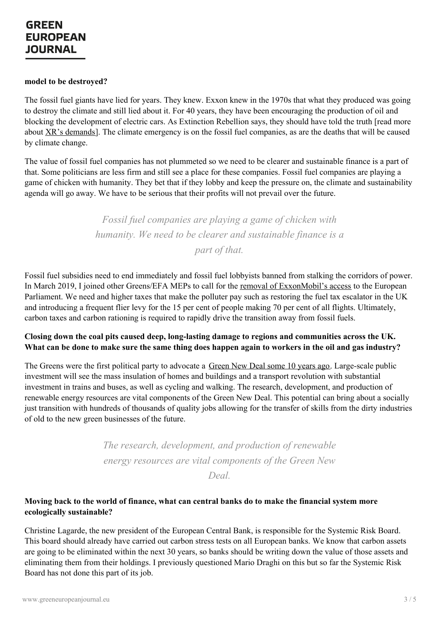## **GREEN EUROPEAN JOURNAL**

#### **model to be destroyed?**

The fossil fuel giants have lied for years. They knew. Exxon knew in the 1970s that what they produced was going to destroy the climate and still lied about it. For 40 years, they have been encouraging the production of oil and blocking the development of electric cars. As Extinction Rebellion says, they should have told the truth [read more about XR's [demands](https://www.greeneuropeanjournal.eu/time-to-rebel-civil-disobedience-for-the-planet/)]. The climate emergency is on the fossil fuel companies, as are the deaths that will be caused by climate change.

The value of fossil fuel companies has not plummeted so we need to be clearer and sustainable finance is a part of that. Some politicians are less firm and still see a place for these companies. Fossil fuel companies are playing a game of chicken with humanity. They bet that if they lobby and keep the pressure on, the climate and sustainability agenda will go away. We have to be serious that their profits will not prevail over the future.

> *Fossil fuel companies are playing a game of chicken with humanity. We need to be clearer and sustainable finance is a part of that.*

Fossil fuel subsidies need to end immediately and fossil fuel lobbyists banned from stalking the corridors of power. In March 2019, I joined other Greens/EFA MEPs to call for the removal of [ExxonMobil's](https://www.euractiv.com/section/climate-environment/news/exxon-lobbyists-allowed-to-keep-eu-access-badges/) access to the European Parliament. We need and higher taxes that make the polluter pay such as restoring the fuel tax escalator in the UK and introducing a frequent flier levy for the 15 per cent of people making 70 per cent of all flights. Ultimately, carbon taxes and carbon rationing is required to rapidly drive the transition away from fossil fuels.

#### **Closing down the coal pits caused deep, long-lasting damage to regions and communities across the UK.** What can be done to make sure the same thing does happen again to workers in the oil and gas industry?

The Greens were the first political party to advocate a [Green](https://www.greenparty.org.uk/archive/news-archive/3493.html) New Deal some 10 years ago. Large-scale public investment will see the mass insulation of homes and buildings and a transport revolution with substantial investment in trains and buses, as well as cycling and walking. The research, development, and production of renewable energy resources are vital components of the Green New Deal. This potential can bring about a socially just transition with hundreds of thousands of quality jobs allowing for the transfer of skills from the dirty industries of old to the new green businesses of the future.

> *The research, development, and production of renewable energy resources are vital components of the Green New Deal.*

#### **Moving back to the world of finance, what can central banks do to make the financial system more ecologically sustainable?**

Christine Lagarde, the new president of the European Central Bank, is responsible for the Systemic Risk Board. This board should already have carried out carbon stress tests on all European banks. We know that carbon assets are going to be eliminated within the next 30 years, so banks should be writing down the value of those assets and eliminating them from their holdings. I previously questioned Mario Draghi on this but so far the Systemic Risk Board has not done this part of its job.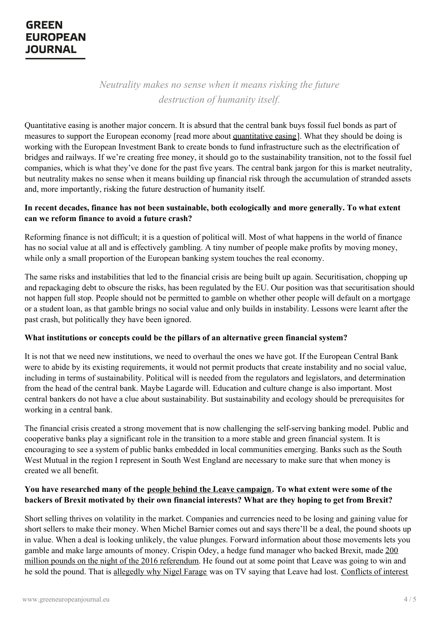# **EUROPEAN JOURNAL**

*Neutrality makes no sense when it means risking the future destruction of humanity itself.*

Quantitative easing is another major concern. It is absurd that the central bank buys fossil fuel bonds as part of measures to support the European economy [read more about [quantitative](https://www.greeneuropeanjournal.eu/the-future-of-money-as-an-institution/) easing]. What they should be doing is working with the European Investment Bank to create bonds to fund infrastructure such as the electrification of bridges and railways. If we're creating free money, it should go to the sustainability transition, not to the fossil fuel companies, which is what they've done for the past five years. The central bank jargon for this is market neutrality, but neutrality makes no sense when it means building up financial risk through the accumulation of stranded assets and, more importantly, risking the future destruction of humanity itself.

#### **In recent decades, finance has not been sustainable, both ecologically and more generally. To what extent can we reform finance to avoid a future crash?**

Reforming finance is not difficult; it is a question of political will. Most of what happens in the world of finance has no social value at all and is effectively gambling. A tiny number of people make profits by moving money, while only a small proportion of the European banking system touches the real economy.

The same risks and instabilities that led to the financial crisis are being built up again. Securitisation, chopping up and repackaging debt to obscure the risks, has been regulated by the EU. Our position was that securitisation should not happen full stop. People should not be permitted to gamble on whether other people will default on a mortgage or a student loan, as that gamble brings no social value and only builds in instability. Lessons were learnt after the past crash, but politically they have been ignored.

#### **What institutions or concepts could be the pillars of an alternative green financial system?**

It is not that we need new institutions, we need to overhaul the ones we have got. If the European Central Bank were to abide by its existing requirements, it would not permit products that create instability and no social value, including in terms of sustainability. Political will is needed from the regulators and legislators, and determination from the head of the central bank. Maybe Lagarde will. Education and culture change is also important. Most central bankers do not have a clue about sustainability. But sustainability and ecology should be prerequisites for working in a central bank.

The financial crisis created a strong movement that is now challenging the self-serving banking model. Public and cooperative banks play a significant role in the transition to a more stable and green financial system. It is encouraging to see a system of public banks embedded in local communities emerging. Banks such as the South West Mutual in the region I represent in South West England are necessary to make sure that when money is created we all benefit.

#### You have researched many of the people behind the Leave [campaign](https://badboysofbrexit.com/the-complete-list-of-bad-boys/). To what extent were some of the **backers of Brexit motivated by their own financial interests? What are they hoping to get from Brexit?**

Short selling [thrives](https://www.greeneuropeanjournal.eu) on volatility in the market. Companies and currencies need to be losing and gaining value for short sellers to make their money. When Michel Barnier comes out and says there'll be a deal, the pound shoots up in value. When a deal is looking unlikely, the value plunges. Forward information about those movements lets you gamble and make large amounts of money. Crispin Odey, a hedge fund manager who backed Brexit, made 200 million pounds on the night of the 2016 [referendum.](https://www.independent.co.uk/news/uk/politics/hedge-fund-manager-describes-moment-he-won-220-million-brexit-vote-the-morning-has-gold-in-its-mouth-a7323626.html) He found out at some point that Leave was going to win and he sold the pound. That is [allegedly](https://www.bloomberg.com/news/features/2018-06-25/brexit-big-short-how-pollsters-helped-hedge-funds-beat-the-crash) why Nigel Farage was on TV saying that Leave had lost. [Conflicts](https://www.theguardian.com/politics/2019/sep/26/brexit-party-meps-are-eus-biggest-earners-in-second-jobs-study-finds) of interest